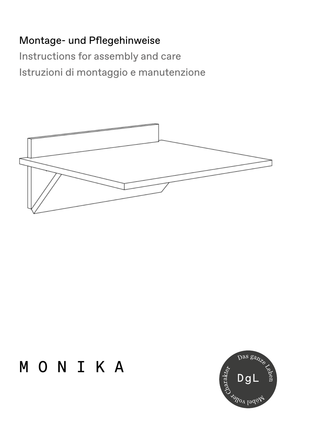# Montage- und Pflegehinweise

Instructions for assembly and care Istruzioni di montaggio e manutenzione



# MONIKA

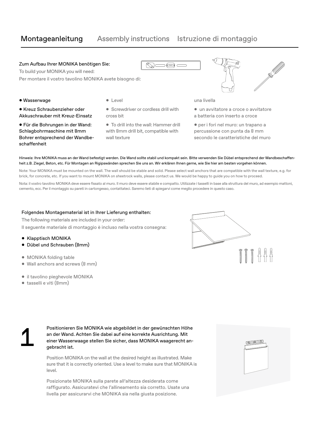# Montageanleitung Assembly instructions Istruzione di montaggio

ல∝

o ed c

### Zum Aufbau Ihrer MONIKA benötigen Sie:

To build your MONIKA you will need: Per montare il vostro tavolino MONIKA avete bisogno di:

### Wasserwage

- Kreuz Schraubenzieher oder Akkuschrauber mit Kreuz-Einsatz
- Für die Bohrungen in der Wand: Schlagbohrmaschine mit 8mm Bohrer entsprechend der Wandbeschaffenheit
- **•** Level
- Screwdriver or cordless drill with cross bit
- To drill into the wall: Hammer drill with 8mm drill bit, compatible with wall texture



una livella

- un avvitatore a croce o avvitatore a batteria con inserto a croce
- per i fori nel muro: un trapano a percussione con punta da 8 mm secondo le caratteristiche del muro

Hinweis: Ihre MONIKA muss an der Wand befestigt werden. Die Wand sollte stabil und kompakt sein. Bitte verwenden Sie Dübel entsprechend der Wandbeschaffenheit z.B. Ziegel, Beton, etc. Für Montagen an Rigipswänden sprechen Sie uns an. Wir erklären Ihnen gerne, wie Sie hier am besten vorgehen können.

Note: Your MONIKA must be mounted on the wall. The wall should be stable and solid. Please select wall anchors that are compatible with the wall texture, e.g. for brick, for concrete, etc. If you want to mount MONIKA on sheetrock walls, please contact us. We would be happy to guide you on how to proceed.

Nota: il vostro tavolino MONIKA deve essere fissato al muro. Il muro deve essere stabile e compatto. Utilizzate i tasselli in base alla struttura del muro, ad esempio mattoni, cemento, ecc. Per il montaggio su pareti in cartongesso, contattateci. Saremo lieti di spiegarvi come meglio procedere in questo caso.

### Folgendes Montagematerial ist in Ihrer Lieferung enthalten:

The following materials are included in your order:

Il seguente materiale di montaggio è incluso nella vostra consegna:

- Klapptisch MONIKA
- Dübel und Schrauben (8mm)
- MONIKA folding table
- Wall anchors and screws (8 mm)
- il tavolino pieghevole MONIKA
- tasselli e viti (8mm)



Positionieren Sie MONIKA wie abgebildet in der gewünschten Höhe<br>an der Wand. Achten Sie dabei auf eine korrekte Ausrichtung. Mit<br>einer Wasserwaage stellen Sie sicher, dass MONIKA waagerecht an-<br>gebracht ist. an der Wand. Achten Sie dabei auf eine korrekte Ausrichtung. Mit einer Wasserwaage stellen Sie sicher, dass MONIKA waagerecht angebracht ist.

> Position MONIKA on the wall at the desired height as illustrated. Make sure that it is correctly oriented. Use a level to make sure that MONIKA is level.

Posizionate MONIKA sulla parete all'altezza desiderata come raffigurato. Assicuratevi che l'allineamento sia corretto. Usate una livella per assicurarvi che MONIKA sia nella giusta posizione.

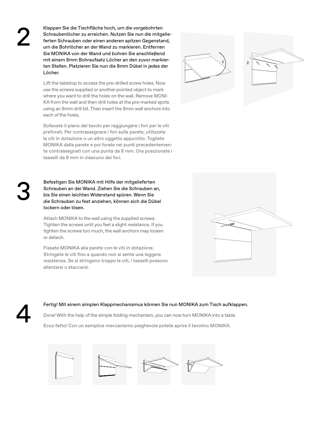Klappen Sie die Tischfläche hoch, um die vorgebohrten<br>Schraubenlöcher zu erreichen. Nutzen Sie nun die mitge<br>ferten Schrauben oder einen anderen spitzen Gegensta<br>um die Bohrlöcher an der Wand zu markieren. Entferner Schraubenlöcher zu erreichen. Nutzen Sie nun die mitgelieferten Schrauben oder einen anderen spitzen Gegenstand, um die Bohrlöcher an der Wand zu markieren. Entfernen Sie MONIKA von der Wand und bohren Sie anschließend mit einem 8mm Bohraufsatz Löcher an den zuvor markierten Stellen. Platzieren Sie nun die 8mm Dübel in jedes der Löcher.

> Lift the tabletop to access the pre-drilled screw holes. Now use the screws supplied or another pointed object to mark where you want to drill the holes on the wall. Remove MONI-KA from the wall and then drill holes at the pre-marked spots using an 8mm drill bit. Then insert the 8mm wall anchors into each of the holes.

Sollevate il piano del tavolo per raggiungere i fori per le viti preforati. Per contrassegnare i fori sulla parete, utilizzate le viti in dotazione o un altro oggetto appuntito. Togliete MONIKA dalla parete e poi forate nei punti precedentemente contrassegnati con una punta da 8 mm. Ora posizionate i tasselli da 8 mm in ciascuno dei fori.

Befestigen Sie MONIKA mit Hilfe der mitgelieferten<br>Schrauben an der Wand. Ziehen Sie die Schrauben an,<br>bis Sie einen leichten Widerstand spüren. Wenn Sie<br>die Schrauben zu fest anziehen, können sich die Dübel Schrauben an der Wand. Ziehen Sie die Schrauben an, bis Sie einen leichten Widerstand spüren. Wenn Sie lockern oder lösen.

> Attach MONIKA to the wall using the supplied screws. Tighten the screws until you feel a slight resistance. If you tighten the screws too much, the wall anchors may loosen or detach.

Fissate MONIKA alla parete con le viti in dotazione. Stringete le viti fino a quando non si sente una leggera resistenza. Se si stringono troppo le viti, i tasselli possono allentarsi o staccarsi.

Fertig! Mit einem simplen Klappmechanismus können Sie nun MONIKA zum Tisch aufklappen.<br>Done! With the help of the simple folding mechanism, you can now turn MONIKA into a table.<br>Ecco fatto! Con un semplice meccanismo piegh Done! With the help of the simple folding mechanism, you can now turn MONIKA into a table.

Ecco fatto! Con un semplice meccanismo pieghevole potete aprire il tavolino MONIKA.





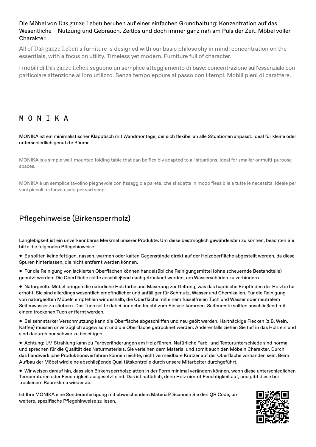### Die Möbel von Das ganze Leben beruhen auf einer einfachen Grundhaltung: Konzentration auf das Wesentliche – Nutzung und Gebrauch. Zeitlos und doch immer ganz nah am Puls der Zeit. Möbel voller Charakter.

All of Das ganze Leben's furniture is designed with our basic philosophy in mind: concentration on the essentials, with a focus on utility. Timeless yet modern. Furniture full of character.

I mobili di Das ganze Leben seguono un semplice atteggiamento di base: concentrazione sull'essenziale con particolare attenzione al loro utilizzo. Senza tempo eppure al passo con i tempi. Mobili pieni di carattere.

### MONIKA

MONIKA ist ein minimalistischer Klapptisch mit Wandmontage, der sich flexibel an alle Situationen anpasst. Ideal für kleine oder unterschiedlich genutzte Räume.

MONIKA is a simple wall-mounted folding table that can be flexibly adapted to all situations. Ideal for smaller or multi-purpose spaces.

MONIKA è un semplice tavolino pieghevole con fissaggio a parete, che si adatta in modo flessibile a tutte le necessità. Ideale per vani piccoli o stanze usate per vari scopi.

# Pflegehinweise (Birkensperrholz)

Langlebigkeit ist ein unverkennbares Merkmal unserer Produkte. Um diese bestmöglich gewährleisten zu können, beachten Sie bitte die folgenden Pflegehinweise:

- Es sollten keine fettigen, nassen, warmen oder kalten Gegenstände direkt auf der Holzoberfläche abgestellt werden, da diese Spuren hinterlassen, die nicht entfernt werden können.
- Für die Reinigung von lackierten Oberflächen können handelsübliche Reinigungsmittel (ohne scheuernde Bestandteile) genutzt werden. Die Oberfläche sollte anschließend nachgetrocknet werden, um Wasserschäden zu verhindern.

 Naturgeölte Möbel bringen die natürliche Holzfarbe und Maserung zur Geltung, was das haptische Empfinden der Holztextur erhöht. Sie sind allerdings wesentlich empfindlicher und anfälliger für Schmutz, Wasser und Chemikalien. Für die Reinigung von naturgeölten Möbeln empfehlen wir deshalb, die Oberfläche mit einem fusselfreien Tuch und Wasser oder neutralem Seifenwasser zu säubern. Das Tuch sollte dabei nur nebelfeucht zum Einsatz kommen. Seifenreste sollten anschließend mit einem trockenen Tuch entfernt werden.

 Bei sehr starker Verschmutzung kann die Oberfläche abgeschliffen und neu geölt werden. Hartnäckige Flecken (z.B. Wein, Kaffee) müssen unverzüglich abgewischt und die Oberfläche getrocknet werden. Anderenfalls ziehen Sie tief in das Holz ein und sind dadurch nur schwer zu beseitigen.

 Achtung: UV-Strahlung kann zu Farbveränderungen am Holz führen. Natürliche Farb- und Texturunterschiede sind normal und sprechen für die Qualität des Naturmaterials. Sie verleihen dem Material und somit auch den Möbeln Charakter. Durch das handwerkliche Produktionsverfahren können leichte, nicht vermeidbare Kratzer auf der Oberfläche vorhanden sein. Beim Aufbau der Möbel wird eine abschließende Qualitätskontrolle durch unsere Mitarbeiter durchgeführt.

 Wir weisen darauf hin, dass sich Birkensperrholzplatten in der Form minimal verändern können, wenn diese unterschiedlichen Temperaturen oder Feuchtigkeit ausgesetzt sind. Das ist natürlich, denn Holz nimmt Feuchtigkeit auf, und gibt diese bei trockenem Raumklima wieder ab.

Ist Ihre MONIKA eine Sonderanfertigung mit abweichendem Material? Scannen Sie den QR Code, um weitere, spezifische Pflegehinweise zu lesen.

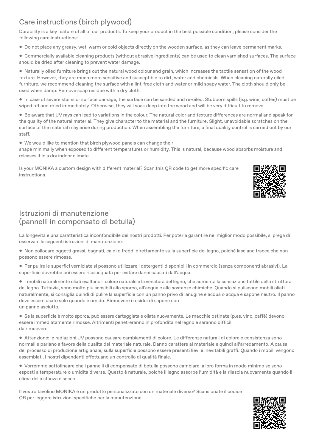# Care instructions (birch plywood)

Durability is a key feature of all of our products. To keep your product in the best possible condition, please consider the following care instructions:

- Do not place any greasy, wet, warm or cold objects directly on the wooden surface, as they can leave permanent marks.
- Commercially available cleaning products (without abrasive ingredients) can be used to clean varnished surfaces. The surface should be dried after cleaning to prevent water damage.

 Naturally oiled furniture brings out the natural wood colour and grain, which increases the tactile sensation of the wood texture. However, they are much more sensitive and susceptible to dirt, water and chemicals. When cleaning naturally oiled furniture, we recommend cleaning the surface with a lint-free cloth and water or mild soapy water. The cloth should only be used when damp. Remove soap residue with a dry cloth.

 In case of severe stains or surface damage, the surface can be sanded and re-oiled. Stubborn spills (e.g. wine, coffee) must be wiped off and dried immediately. Otherwise, they will soak deep into the wood and will be very difficult to remove.

 Be aware that UV rays can lead to variations in the colour. The natural color and texture differences are normal and speak for the quality of the natural material. They give character to the material and the furniture. Slight, unavoidable scratches on the surface of the material may arise during production. When assembling the furniture, a final quality control is carried out by our staff.

We would like to mention that birch plywood panels can change their

shape minimally when exposed to different temperatures or humidity. This is natural, because wood absorbs moisture and releases it in a dry indoor climate.

Is your MONIKA a custom design with different material? Scan this QR code to get more specific care instructions.



## Istruzioni di manutenzione (pannelli in compensato di betulla)

La longevità è una caratteristica inconfondibile dei nostri prodotti. Per poterla garantire nel miglior modo possibile, si prega di osservare le seguenti istruzioni di manutenzione:

- Non collocare oggetti grassi, bagnati, caldi o freddi direttamente sulla superficie del legno, poiché lasciano tracce che non possono essere rimosse.
- Per pulire le superfici verniciate si possono utilizzare i detergenti disponibili in commercio (senza componenti abrasivi). La superficie dovrebbe poi essere risciacquata per evitare danni causati dall'acqua.

 I mobili naturalmente oliati esaltano il colore naturale e la venatura del legno, che aumenta la sensazione tattile della struttura del legno. Tuttavia, sono molto più sensibili allo sporco, all'acqua e alle sostanze chimiche. Quando si puliscono mobili oliati naturalmente, si consiglia quindi di pulire la superficie con un panno privo di lanugine e acqua o acqua e sapone neutro. Il panno deve essere usato solo quando è umido. Rimuovere i residui di sapone con un panno asciutto.

 Se la superficie è molto sporca, può essere carteggiata e oliata nuovamente. Le macchie ostinate (p.es. vino, caffè) devono essere immediatamente rimosse. Altrimenti penetreranno in profondità nel legno e saranno difficili da rimuovere.

 Attenzione: le radiazioni UV possono causare cambiamenti di colore. Le differenze naturali di colore e consistenza sono normali e parlano a favore della qualità del materiale naturale. Danno carattere al materiale e quindi all'arredamento. A causa del processo di produzione artigianale, sulla superficie possono essere presenti lievi e inevitabili graffi. Quando i mobili vengono assemblati, i nostri dipendenti effettuano un controllo di qualità finale.

 Vorremmo sottolineare che i pannelli di compensato di betulla possono cambiare la loro forma in modo minimo se sono esposti a temperature o umidità diverse. Questo è naturale, poiché il legno assorbe l'umidità e la rilascia nuovamente quando il clima della stanza è secco.

Il vostro tavolino MONIKA è un prodotto personalizzato con un materiale diverso? Scansionate il codice QR per leggere istruzioni specifiche per la manutenzione.

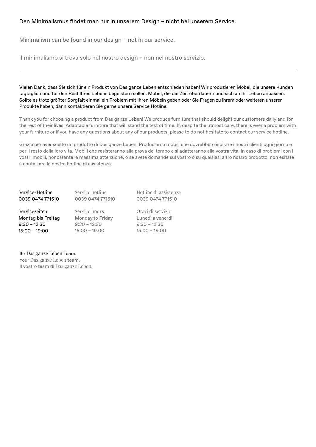### Den Minimalismus findet man nur in unserem Design – nicht bei unserem Service.

Minimalism can be found in our design – not in our service.

Il minimalismo si trova solo nel nostro design – non nel nostro servizio.

Vielen Dank, dass Sie sich für ein Produkt von Das ganze Leben entschieden haben! Wir produzieren Möbel, die unsere Kunden tagtäglich und für den Rest Ihres Lebens begeistern sollen. Möbel, die die Zeit überdauern und sich an Ihr Leben anpassen. Sollte es trotz größter Sorgfalt einmal ein Problem mit Ihren Möbeln geben oder Sie Fragen zu Ihrem oder weiteren unserer Produkte haben, dann kontaktieren Sie gerne unsere Service Hotline.

Thank you for choosing a product from Das ganze Leben! We produce furniture that should delight our customers daily and for the rest of their lives. Adaptable furniture that will stand the test of time. If, despite the utmost care, there is ever a problem with your furniture or if you have any questions about any of our products, please to do not hesitate to contact our service hotline.

Grazie per aver scelto un prodotto di Das ganze Leben! Produciamo mobili che dovrebbero ispirare i nostri clienti ogni giorno e per il resto della loro vita. Mobili che resisteranno alla prova del tempo e si adatteranno alla vostra vita. In caso di problemi con i vostri mobili, nonostante la massima attenzione, o se avete domande sul vostro o su qualsiasi altro nostro prodotto, non esitate a contattare la nostra hotline di assistenza.

Service-Hotline 0039 0474 771510

Service hotline 0039 0474 771510 Hotline di assistenza 0039 0474 771510

Servicezeiten Montag bis Freitag 9:30 – 12:30 15:00 – 19:00

Service hours Monday to Friday 9:30 – 12:30 15:00 – 19:00

Orari di servizio Lunedì a venerdì 9:30 – 12:30 15:00 – 19:00

Ihr Das ganze Leben Team. Your Das ganze Leben team. Il vostro team di Das ganze Leben.